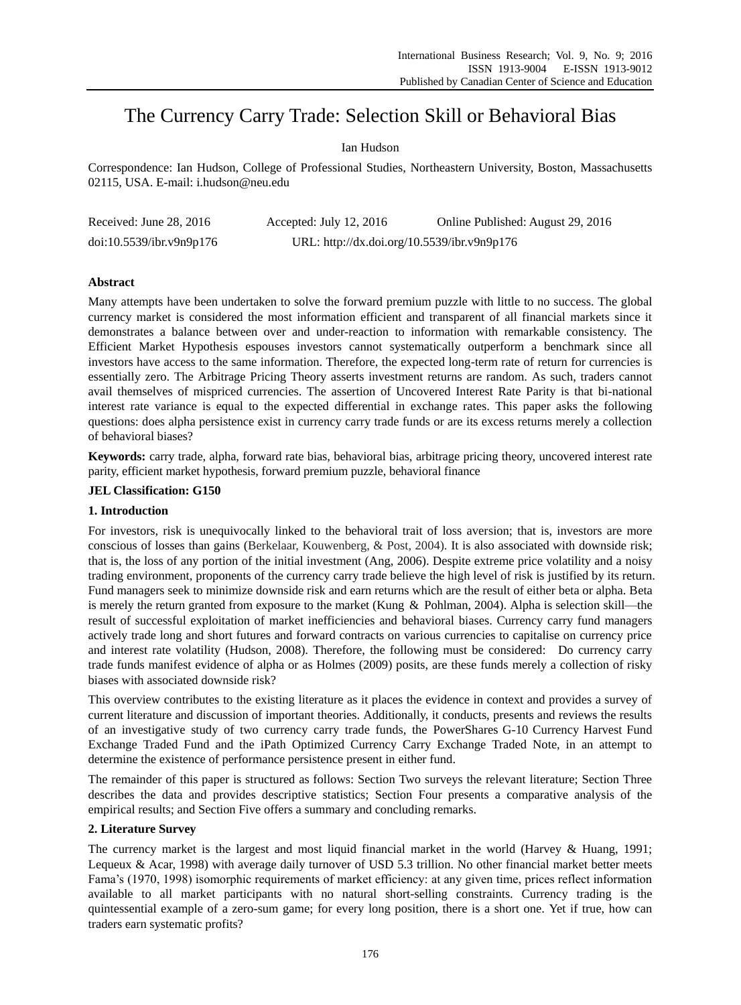# The Currency Carry Trade: Selection Skill or Behavioral Bias

# Ian Hudson

Correspondence: Ian Hudson, College of Professional Studies, Northeastern University, Boston, Massachusetts 02115, USA. E-mail: i.hudson@neu.edu

| Received: June $28, 2016$ | Accepted: July 12, $2016$                   | Online Published: August 29, 2016 |
|---------------------------|---------------------------------------------|-----------------------------------|
| doi:10.5539/ibr.v9n9p176  | URL: http://dx.doi.org/10.5539/ibr.v9n9p176 |                                   |

# **Abstract**

Many attempts have been undertaken to solve the forward premium puzzle with little to no success. The global currency market is considered the most information efficient and transparent of all financial markets since it demonstrates a balance between over and under-reaction to information with remarkable consistency. The Efficient Market Hypothesis espouses investors cannot systematically outperform a benchmark since all investors have access to the same information. Therefore, the expected long-term rate of return for currencies is essentially zero. The Arbitrage Pricing Theory asserts investment returns are random. As such, traders cannot avail themselves of mispriced currencies. The assertion of Uncovered Interest Rate Parity is that bi-national interest rate variance is equal to the expected differential in exchange rates. This paper asks the following questions: does alpha persistence exist in currency carry trade funds or are its excess returns merely a collection of behavioral biases?

**Keywords:** carry trade, alpha, forward rate bias, behavioral bias, arbitrage pricing theory, uncovered interest rate parity, efficient market hypothesis, forward premium puzzle, behavioral finance

# **JEL Classification: G150**

# **1. Introduction**

For investors, risk is unequivocally linked to the behavioral trait of loss aversion; that is, investors are more conscious of losses than gains (Berkelaar, Kouwenberg, & Post, 2004). It is also associated with downside risk; that is, the loss of any portion of the initial investment (Ang, 2006). Despite extreme price volatility and a noisy trading environment, proponents of the currency carry trade believe the high level of risk is justified by its return. Fund managers seek to minimize downside risk and earn returns which are the result of either beta or alpha. Beta is merely the return granted from exposure to the market (Kung & Pohlman, 2004). Alpha is selection skill—the result of successful exploitation of market inefficiencies and behavioral biases. Currency carry fund managers actively trade long and short futures and forward contracts on various currencies to capitalise on currency price and interest rate volatility (Hudson, 2008). Therefore, the following must be considered: Do currency carry trade funds manifest evidence of alpha or as Holmes (2009) posits, are these funds merely a collection of risky biases with associated downside risk?

This overview contributes to the existing literature as it places the evidence in context and provides a survey of current literature and discussion of important theories. Additionally, it conducts, presents and reviews the results of an investigative study of two currency carry trade funds, the PowerShares G-10 Currency Harvest Fund Exchange Traded Fund and the iPath Optimized Currency Carry Exchange Traded Note, in an attempt to determine the existence of performance persistence present in either fund.

The remainder of this paper is structured as follows: Section Two surveys the relevant literature; Section Three describes the data and provides descriptive statistics; Section Four presents a comparative analysis of the empirical results; and Section Five offers a summary and concluding remarks.

# **2. Literature Survey**

The currency market is the largest and most liquid financial market in the world (Harvey & Huang, 1991; Lequeux & Acar, 1998) with average daily turnover of USD 5.3 trillion. No other financial market better meets Fama's (1970, 1998) isomorphic requirements of market efficiency: at any given time, prices reflect information available to all market participants with no natural short-selling constraints. Currency trading is the quintessential example of a zero-sum game; for every long position, there is a short one. Yet if true, how can traders earn systematic profits?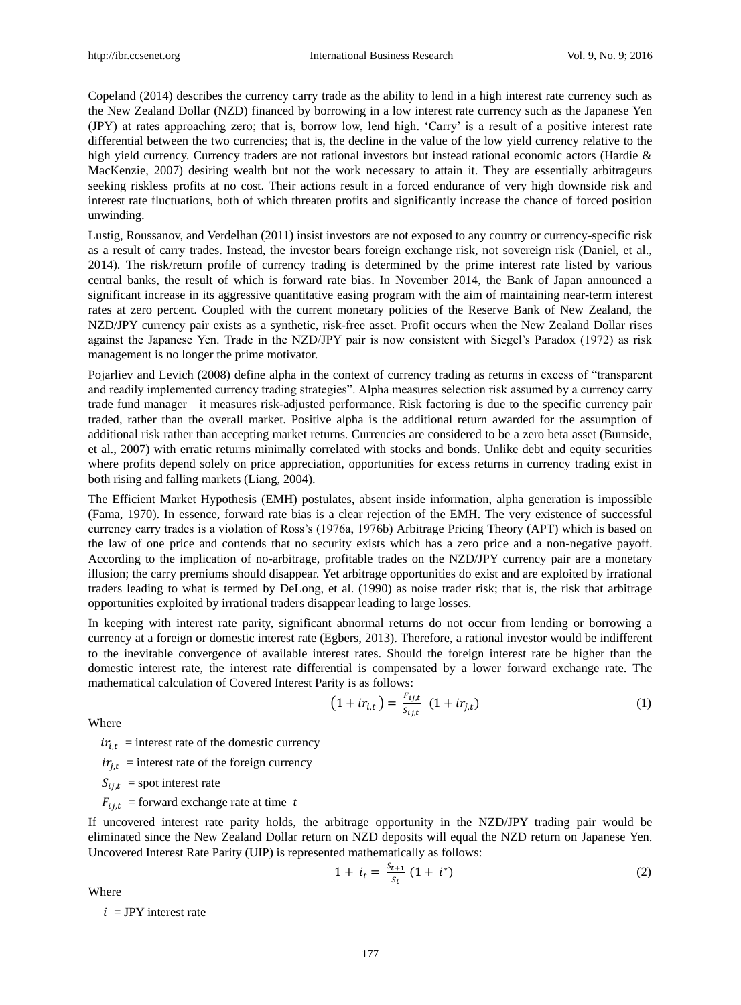Copeland (2014) describes the currency carry trade as the ability to lend in a high interest rate currency such as the New Zealand Dollar (NZD) financed by borrowing in a low interest rate currency such as the Japanese Yen (JPY) at rates approaching zero; that is, borrow low, lend high. ‗Carry' is a result of a positive interest rate differential between the two currencies; that is, the decline in the value of the low yield currency relative to the high yield currency. Currency traders are not rational investors but instead rational economic actors (Hardie & MacKenzie, 2007) desiring wealth but not the work necessary to attain it. They are essentially arbitrageurs seeking riskless profits at no cost. Their actions result in a forced endurance of very high downside risk and interest rate fluctuations, both of which threaten profits and significantly increase the chance of forced position unwinding.

Lustig, Roussanov, and Verdelhan (2011) insist investors are not exposed to any country or currency-specific risk as a result of carry trades. Instead, the investor bears foreign exchange risk, not sovereign risk (Daniel, et al., 2014). The risk/return profile of currency trading is determined by the prime interest rate listed by various central banks, the result of which is forward rate bias. In November 2014, the Bank of Japan announced a significant increase in its aggressive quantitative easing program with the aim of maintaining near-term interest rates at zero percent. Coupled with the current monetary policies of the Reserve Bank of New Zealand, the NZD/JPY currency pair exists as a synthetic, risk-free asset. Profit occurs when the New Zealand Dollar rises against the Japanese Yen. Trade in the NZD/JPY pair is now consistent with Siegel's Paradox (1972) as risk management is no longer the prime motivator.

Pojarliev and Levich (2008) define alpha in the context of currency trading as returns in excess of "transparent" and readily implemented currency trading strategies". Alpha measures selection risk assumed by a currency carry trade fund manager—it measures risk-adjusted performance. Risk factoring is due to the specific currency pair traded, rather than the overall market. Positive alpha is the additional return awarded for the assumption of additional risk rather than accepting market returns. Currencies are considered to be a zero beta asset (Burnside, et al., 2007) with erratic returns minimally correlated with stocks and bonds. Unlike debt and equity securities where profits depend solely on price appreciation, opportunities for excess returns in currency trading exist in both rising and falling markets (Liang, 2004).

The Efficient Market Hypothesis (EMH) postulates, absent inside information, alpha generation is impossible (Fama, 1970). In essence, forward rate bias is a clear rejection of the EMH. The very existence of successful currency carry trades is a violation of Ross's (1976a, 1976b) Arbitrage Pricing Theory (APT) which is based on the law of one price and contends that no security exists which has a zero price and a non-negative payoff. According to the implication of no-arbitrage, profitable trades on the NZD/JPY currency pair are a monetary illusion; the carry premiums should disappear. Yet arbitrage opportunities do exist and are exploited by irrational traders leading to what is termed by DeLong, et al. (1990) as noise trader risk; that is, the risk that arbitrage opportunities exploited by irrational traders disappear leading to large losses.

In keeping with interest rate parity, significant abnormal returns do not occur from lending or borrowing a currency at a foreign or domestic interest rate (Egbers, 2013). Therefore, a rational investor would be indifferent to the inevitable convergence of available interest rates. Should the foreign interest rate be higher than the domestic interest rate, the interest rate differential is compensated by a lower forward exchange rate. The mathematical calculation of Covered Interest Parity is as follows:

$$
(1 + ir_{i,t}) = \frac{F_{ij,t}}{S_{ij,t}} (1 + ir_{j,t})
$$
 (1)

Where

 $ir_{i,t}$  = interest rate of the domestic currency

 $ir_{i,t}$  = interest rate of the foreign currency

 $S_{i,j,t}$  = spot interest rate

 $F_{i,i,t}$  = forward exchange rate at time t

If uncovered interest rate parity holds, the arbitrage opportunity in the NZD/JPY trading pair would be eliminated since the New Zealand Dollar return on NZD deposits will equal the NZD return on Japanese Yen. Uncovered Interest Rate Parity (UIP) is represented mathematically as follows:

$$
1 + i_t = \frac{s_{t+1}}{s_t} \left( 1 + i^* \right) \tag{2}
$$

Where

 $i = JPY$  interest rate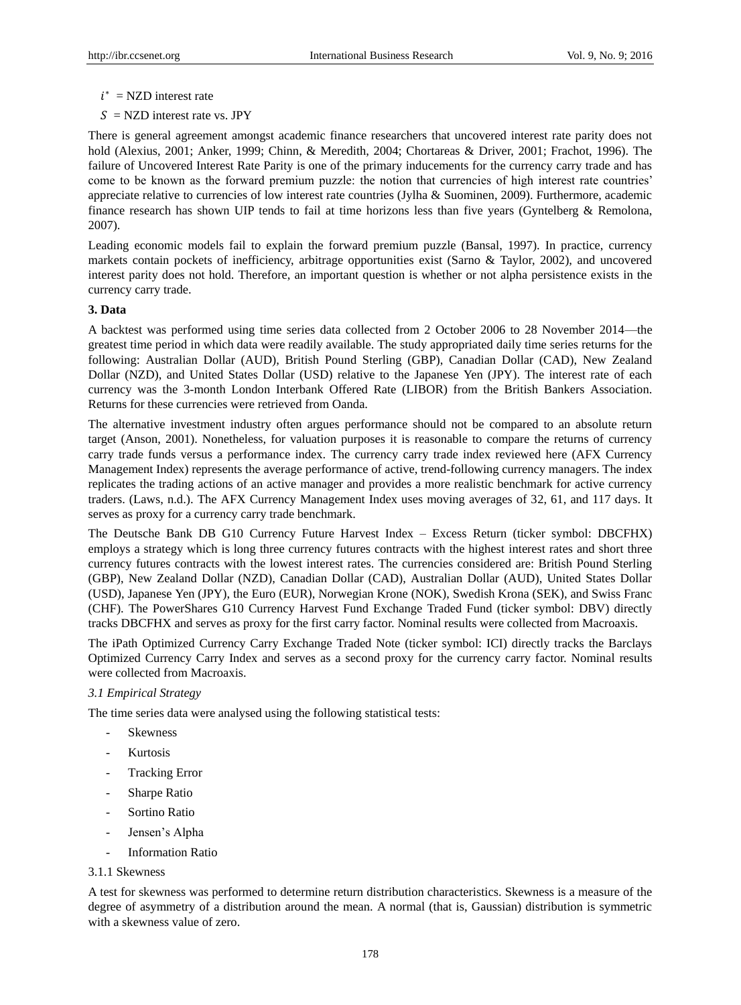- $i^*$  = NZD interest rate
- $S = NZD$  interest rate vs. JPY

There is general agreement amongst academic finance researchers that uncovered interest rate parity does not hold (Alexius, 2001; Anker, 1999; Chinn, & Meredith, 2004; Chortareas & Driver, 2001; Frachot, 1996). The failure of Uncovered Interest Rate Parity is one of the primary inducements for the currency carry trade and has come to be known as the forward premium puzzle: the notion that currencies of high interest rate countries' appreciate relative to currencies of low interest rate countries (Jylha & Suominen, 2009). Furthermore, academic finance research has shown UIP tends to fail at time horizons less than five years (Gyntelberg & Remolona, 2007).

Leading economic models fail to explain the forward premium puzzle (Bansal, 1997). In practice, currency markets contain pockets of inefficiency, arbitrage opportunities exist (Sarno & Taylor, 2002), and uncovered interest parity does not hold. Therefore, an important question is whether or not alpha persistence exists in the currency carry trade.

# **3. Data**

A backtest was performed using time series data collected from 2 October 2006 to 28 November 2014—the greatest time period in which data were readily available. The study appropriated daily time series returns for the following: Australian Dollar (AUD), British Pound Sterling (GBP), Canadian Dollar (CAD), New Zealand Dollar (NZD), and United States Dollar (USD) relative to the Japanese Yen (JPY). The interest rate of each currency was the 3-month London Interbank Offered Rate (LIBOR) from the British Bankers Association. Returns for these currencies were retrieved from Oanda.

The alternative investment industry often argues performance should not be compared to an absolute return target (Anson, 2001). Nonetheless, for valuation purposes it is reasonable to compare the returns of currency carry trade funds versus a performance index. The currency carry trade index reviewed here (AFX Currency Management Index) represents the average performance of active, trend-following currency managers. The index replicates the trading actions of an active manager and provides a more realistic benchmark for active currency traders. (Laws, n.d.). The AFX Currency Management Index uses moving averages of 32, 61, and 117 days. It serves as proxy for a currency carry trade benchmark.

The Deutsche Bank DB G10 Currency Future Harvest Index – Excess Return (ticker symbol: DBCFHX) employs a strategy which is long three currency futures contracts with the highest interest rates and short three currency futures contracts with the lowest interest rates. The currencies considered are: British Pound Sterling (GBP), New Zealand Dollar (NZD), Canadian Dollar (CAD), Australian Dollar (AUD), United States Dollar (USD), Japanese Yen (JPY), the Euro (EUR), Norwegian Krone (NOK), Swedish Krona (SEK), and Swiss Franc (CHF). The PowerShares G10 Currency Harvest Fund Exchange Traded Fund (ticker symbol: DBV) directly tracks DBCFHX and serves as proxy for the first carry factor. Nominal results were collected from Macroaxis.

The iPath Optimized Currency Carry Exchange Traded Note (ticker symbol: ICI) directly tracks the Barclays Optimized Currency Carry Index and serves as a second proxy for the currency carry factor. Nominal results were collected from Macroaxis.

# *3.1 Empirical Strategy*

The time series data were analysed using the following statistical tests:

- **Skewness**
- **Kurtosis**
- Tracking Error
- Sharpe Ratio
- Sortino Ratio
- Jensen's Alpha
- Information Ratio

# 3.1.1 Skewness

A test for skewness was performed to determine return distribution characteristics. Skewness is a measure of the degree of asymmetry of a distribution around the mean. A normal (that is, Gaussian) distribution is symmetric with a skewness value of zero.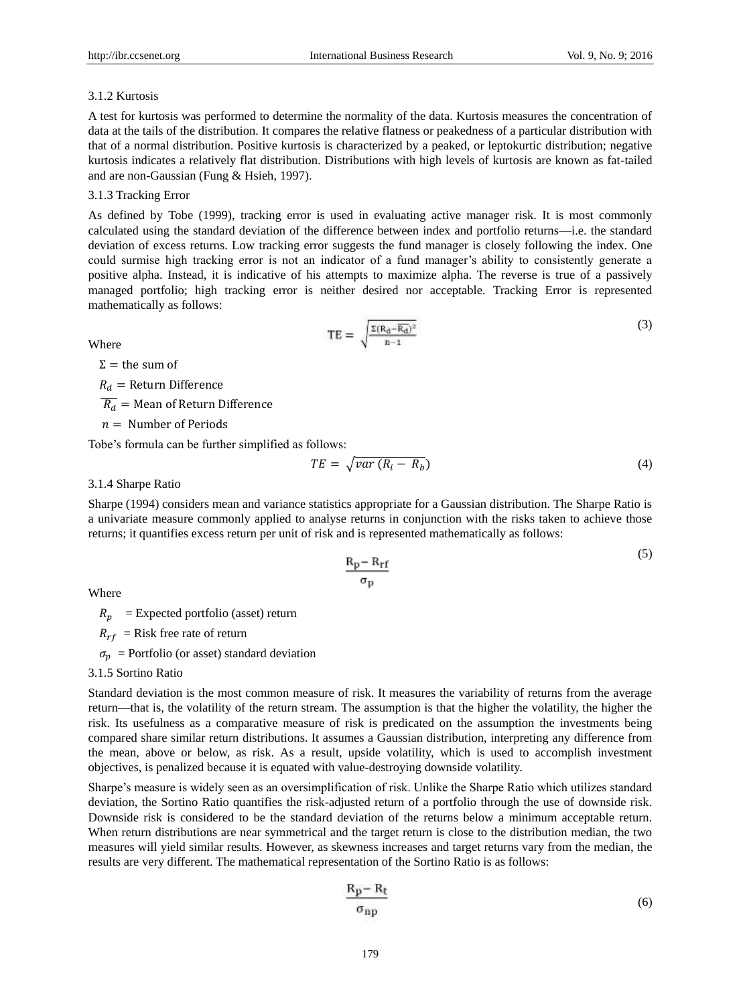#### 3.1.2 Kurtosis

A test for kurtosis was performed to determine the normality of the data. Kurtosis measures the concentration of data at the tails of the distribution. It compares the relative flatness or peakedness of a particular distribution with that of a normal distribution. Positive kurtosis is characterized by a peaked, or leptokurtic distribution; negative kurtosis indicates a relatively flat distribution. Distributions with high levels of kurtosis are known as fat-tailed and are non-Gaussian (Fung & Hsieh, 1997).

# 3.1.3 Tracking Error

As defined by Tobe (1999), tracking error is used in evaluating active manager risk. It is most commonly calculated using the standard deviation of the difference between index and portfolio returns—i.e. the standard deviation of excess returns. Low tracking error suggests the fund manager is closely following the index. One could surmise high tracking error is not an indicator of a fund manager's ability to consistently generate a positive alpha. Instead, it is indicative of his attempts to maximize alpha. The reverse is true of a passively managed portfolio; high tracking error is neither desired nor acceptable. Tracking Error is represented mathematically as follows:

Where

$$
TE = \sqrt{\frac{\Sigma (R_d - \overline{R_d})^2}{n - 1}} \tag{3}
$$

 $Σ =$  the sum of

 $R_d$  = Return Difference

 $\overline{R_d}$  = Mean of Return Difference

 $n =$  Number of Periods

Tobe's formula can be further simplified as follows:

$$
TE = \sqrt{var(R_i - R_b)}\tag{4}
$$

3.1.4 Sharpe Ratio

Sharpe (1994) considers mean and variance statistics appropriate for a Gaussian distribution. The Sharpe Ratio is a univariate measure commonly applied to analyse returns in conjunction with the risks taken to achieve those returns; it quantifies excess return per unit of risk and is represented mathematically as follows:

$$
\frac{R_p - R_{rf}}{\sigma_p} \tag{5}
$$

Where

 $R_n$  = Expected portfolio (asset) return

 $R_{rf}$  = Risk free rate of return

 $\sigma_n$  = Portfolio (or asset) standard deviation

3.1.5 Sortino Ratio

Standard deviation is the most common measure of risk. It measures the variability of returns from the average return—that is, the volatility of the return stream. The assumption is that the higher the volatility, the higher the risk. Its usefulness as a comparative measure of risk is predicated on the assumption the investments being compared share similar return distributions. It assumes a Gaussian distribution, interpreting any difference from the mean, above or below, as risk. As a result, upside volatility, which is used to accomplish investment objectives, is penalized because it is equated with value-destroying downside volatility.

Sharpe's measure is widely seen as an oversimplification of risk. Unlike the Sharpe Ratio which utilizes standard deviation, the Sortino Ratio quantifies the risk-adjusted return of a portfolio through the use of downside risk. Downside risk is considered to be the standard deviation of the returns below a minimum acceptable return. When return distributions are near symmetrical and the target return is close to the distribution median, the two measures will yield similar results. However, as skewness increases and target returns vary from the median, the results are very different. The mathematical representation of the Sortino Ratio is as follows:

$$
\frac{R_p - R_t}{\sigma_{np}}\tag{6}
$$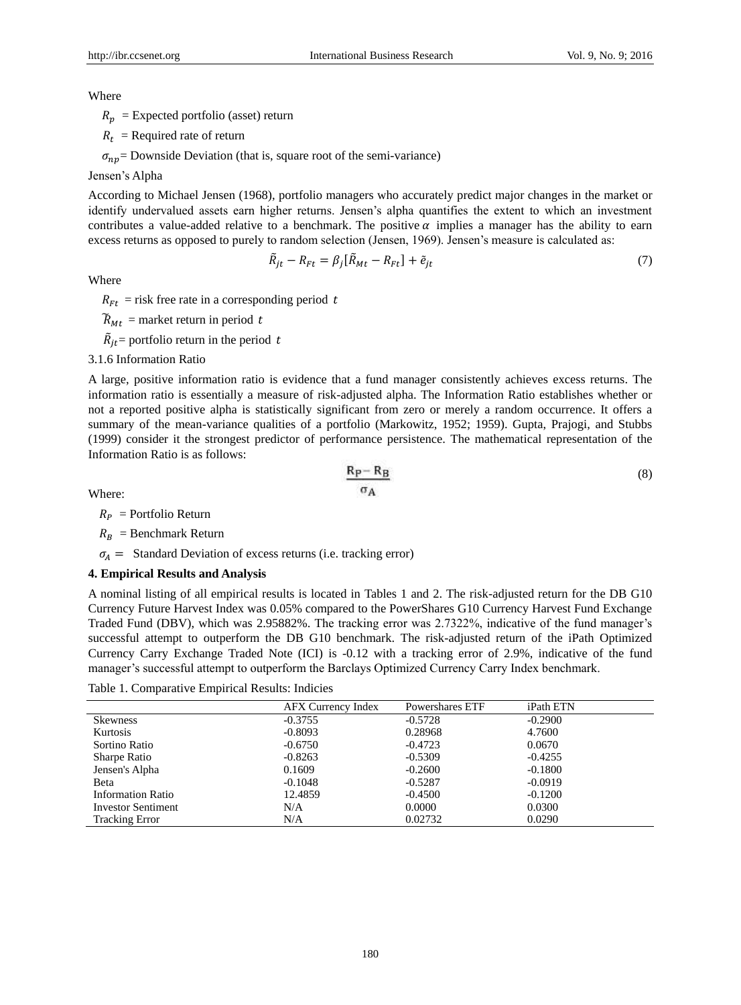(8)

Where

 $R_p$  = Expected portfolio (asset) return

 $R_t$  = Required rate of return

 $\sigma_{np}$  Downside Deviation (that is, square root of the semi-variance)

#### Jensen's Alpha

According to Michael Jensen (1968), portfolio managers who accurately predict major changes in the market or identify undervalued assets earn higher returns. Jensen's alpha quantifies the extent to which an investment contributes a value-added relative to a benchmark. The positive  $\alpha$  implies a manager has the ability to earn excess returns as opposed to purely to random selection (Jensen, 1969). Jensen's measure is calculated as:

$$
\tilde{R}_{jt} - R_{Ft} = \beta_j [\tilde{R}_{Mt} - R_{Ft}] + \tilde{e}_{jt} \tag{7}
$$

Where

 $R_{Ft}$  = risk free rate in a corresponding period t

 $\widetilde{R}_{Mt}$  = market return in period t

 $\tilde{R}_{jt}$  = portfolio return in the period t

# 3.1.6 Information Ratio

A large, positive information ratio is evidence that a fund manager consistently achieves excess returns. The information ratio is essentially a measure of risk-adjusted alpha. The Information Ratio establishes whether or not a reported positive alpha is statistically significant from zero or merely a random occurrence. It offers a summary of the mean-variance qualities of a portfolio (Markowitz, 1952; 1959). Gupta, Prajogi, and Stubbs (1999) consider it the strongest predictor of performance persistence. The mathematical representation of the Information Ratio is as follows:

 $R_P - R_B$ 

Where:

 $R_P$  = Portfolio Return

 $R_R$  = Benchmark Return

 $\sigma_A$  = Standard Deviation of excess returns (i.e. tracking error)

# **4. Empirical Results and Analysis**

A nominal listing of all empirical results is located in Tables 1 and 2. The risk-adjusted return for the DB G10 Currency Future Harvest Index was 0.05% compared to the PowerShares G10 Currency Harvest Fund Exchange Traded Fund (DBV), which was 2.95882%. The tracking error was 2.7322%, indicative of the fund manager's successful attempt to outperform the DB G10 benchmark. The risk-adjusted return of the iPath Optimized Currency Carry Exchange Traded Note (ICI) is -0.12 with a tracking error of 2.9%, indicative of the fund manager's successful attempt to outperform the Barclays Optimized Currency Carry Index benchmark.

Table 1. Comparative Empirical Results: Indicies

|                           | <b>AFX Currency Index</b> | Powershares ETF | <i>iPath ETN</i> |
|---------------------------|---------------------------|-----------------|------------------|
| <b>Skewness</b>           | $-0.3755$                 | $-0.5728$       | $-0.2900$        |
| Kurtosis                  | $-0.8093$                 | 0.28968         | 4.7600           |
| Sortino Ratio             | $-0.6750$                 | $-0.4723$       | 0.0670           |
| Sharpe Ratio              | $-0.8263$                 | $-0.5309$       | $-0.4255$        |
| Jensen's Alpha            | 0.1609                    | $-0.2600$       | $-0.1800$        |
| Beta                      | $-0.1048$                 | $-0.5287$       | $-0.0919$        |
| <b>Information Ratio</b>  | 12.4859                   | $-0.4500$       | $-0.1200$        |
| <b>Investor Sentiment</b> | N/A                       | 0.0000          | 0.0300           |
| <b>Tracking Error</b>     | N/A                       | 0.02732         | 0.0290           |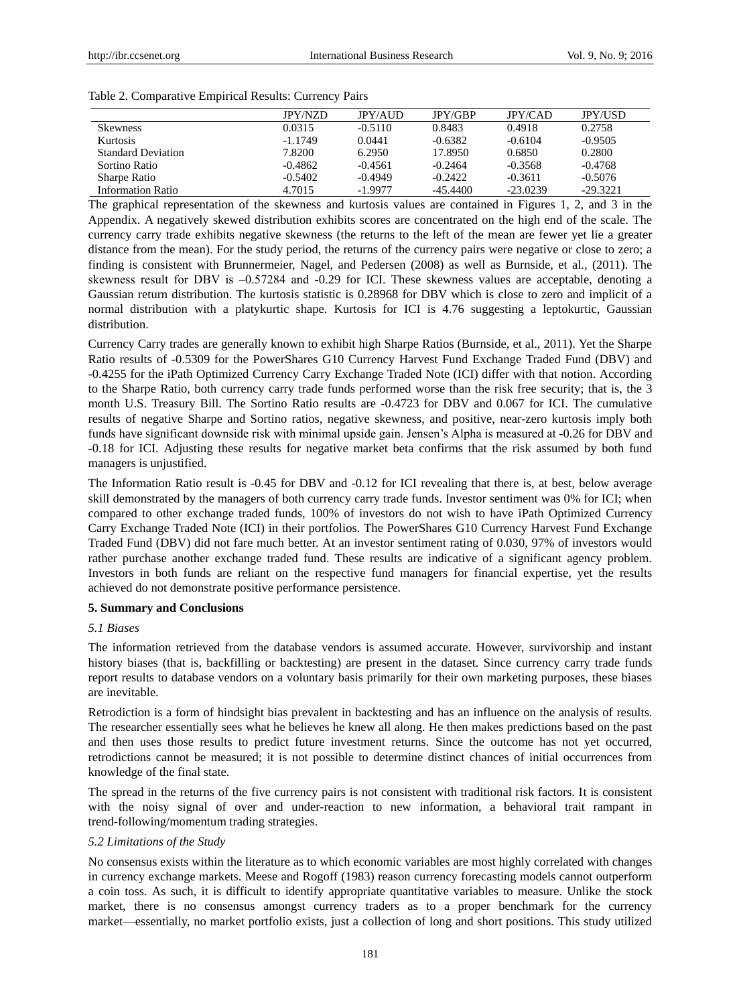| Table 2. Comparative Empirical Results: Currency Pairs |  |  |
|--------------------------------------------------------|--|--|
|                                                        |  |  |

|                           | <b>IPY/NZD</b> | <b>JPY/AUD</b> | JPY/GBP    | <b>JPY/CAD</b> | <b>JPY/USD</b> |
|---------------------------|----------------|----------------|------------|----------------|----------------|
| <b>Skewness</b>           | 0.0315         | $-0.5110$      | 0.8483     | 0.4918         | 0.2758         |
| <b>Kurtosis</b>           | $-1.1749$      | 0.0441         | $-0.6382$  | $-0.6104$      | $-0.9505$      |
| <b>Standard Deviation</b> | 7.8200         | 6.2950         | 17.8950    | 0.6850         | 0.2800         |
| Sortino Ratio             | $-0.4862$      | $-0.4561$      | $-0.2464$  | $-0.3568$      | $-0.4768$      |
| Sharpe Ratio              | $-0.5402$      | $-0.4949$      | $-0.2422$  | $-0.3611$      | $-0.5076$      |
| Information Ratio         | 4.7015         | $-1.9977$      | $-45.4400$ | $-23.0239$     | $-29.3221$     |

The graphical representation of the skewness and kurtosis values are contained in Figures 1, 2, and 3 in the Appendix. A negatively skewed distribution exhibits scores are concentrated on the high end of the scale. The currency carry trade exhibits negative skewness (the returns to the left of the mean are fewer yet lie a greater distance from the mean). For the study period, the returns of the currency pairs were negative or close to zero; a finding is consistent with Brunnermeier, Nagel, and Pedersen (2008) as well as Burnside, et al., (2011). The skewness result for DBV is  $-0.57284$  and  $-0.29$  for ICI. These skewness values are acceptable, denoting a Gaussian return distribution. The kurtosis statistic is 0.28968 for DBV which is close to zero and implicit of a normal distribution with a platykurtic shape. Kurtosis for ICI is 4.76 suggesting a leptokurtic, Gaussian distribution.

Currency Carry trades are generally known to exhibit high Sharpe Ratios (Burnside, et al., 2011). Yet the Sharpe Ratio results of -0.5309 for the PowerShares G10 Currency Harvest Fund Exchange Traded Fund (DBV) and -0.4255 for the iPath Optimized Currency Carry Exchange Traded Note (ICI) differ with that notion. According to the Sharpe Ratio, both currency carry trade funds performed worse than the risk free security; that is, the 3 month U.S. Treasury Bill. The Sortino Ratio results are -0.4723 for DBV and 0.067 for ICI. The cumulative results of negative Sharpe and Sortino ratios, negative skewness, and positive, near-zero kurtosis imply both funds have significant downside risk with minimal upside gain. Jensen's Alpha is measured at -0.26 for DBV and -0.18 for ICI. Adjusting these results for negative market beta confirms that the risk assumed by both fund managers is unjustified.

The Information Ratio result is -0.45 for DBV and -0.12 for ICI revealing that there is, at best, below average skill demonstrated by the managers of both currency carry trade funds. Investor sentiment was 0% for ICI; when compared to other exchange traded funds, 100% of investors do not wish to have iPath Optimized Currency Carry Exchange Traded Note (ICI) in their portfolios. The PowerShares G10 Currency Harvest Fund Exchange Traded Fund (DBV) did not fare much better. At an investor sentiment rating of 0.030, 97% of investors would rather purchase another exchange traded fund. These results are indicative of a significant agency problem. Investors in both funds are reliant on the respective fund managers for financial expertise, yet the results achieved do not demonstrate positive performance persistence.

# **5. Summary and Conclusions**

# *5.1 Biases*

The information retrieved from the database vendors is assumed accurate. However, survivorship and instant history biases (that is, backfilling or backtesting) are present in the dataset. Since currency carry trade funds report results to database vendors on a voluntary basis primarily for their own marketing purposes, these biases are inevitable.

Retrodiction is a form of hindsight bias prevalent in backtesting and has an influence on the analysis of results. The researcher essentially sees what he believes he knew all along. He then makes predictions based on the past and then uses those results to predict future investment returns. Since the outcome has not yet occurred, retrodictions cannot be measured; it is not possible to determine distinct chances of initial occurrences from knowledge of the final state.

The spread in the returns of the five currency pairs is not consistent with traditional risk factors. It is consistent with the noisy signal of over and under-reaction to new information, a behavioral trait rampant in trend-following/momentum trading strategies.

# *5.2 Limitations of the Study*

No consensus exists within the literature as to which economic variables are most highly correlated with changes in currency exchange markets. Meese and Rogoff (1983) reason currency forecasting models cannot outperform a coin toss. As such, it is difficult to identify appropriate quantitative variables to measure. Unlike the stock market, there is no consensus amongst currency traders as to a proper benchmark for the currency market—essentially, no market portfolio exists, just a collection of long and short positions. This study utilized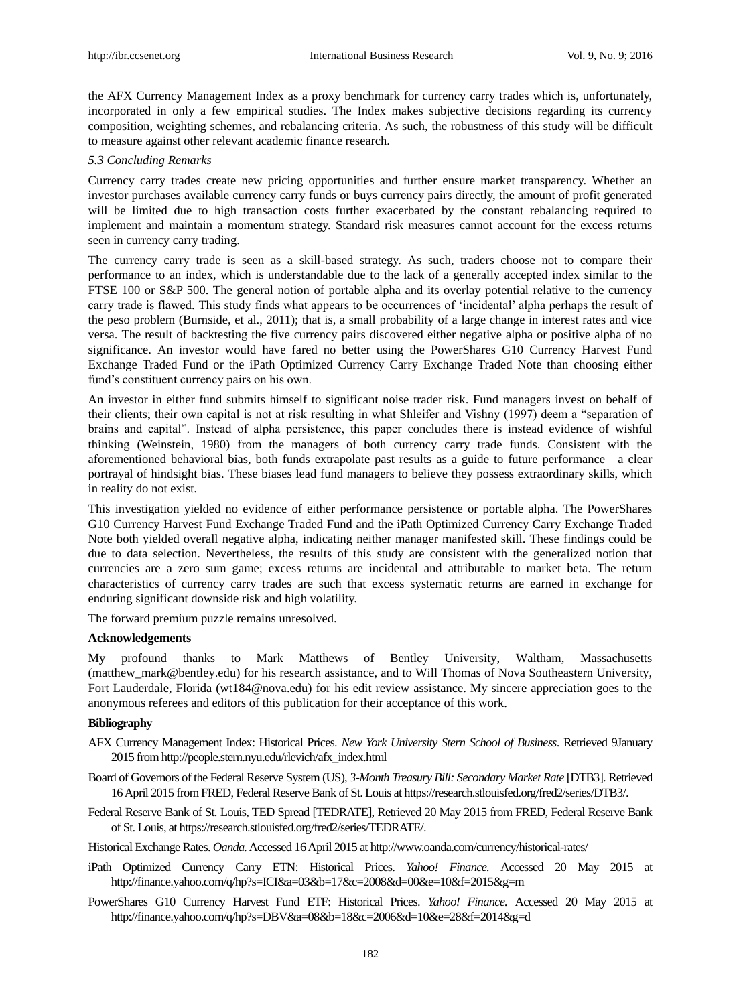the AFX Currency Management Index as a proxy benchmark for currency carry trades which is, unfortunately, incorporated in only a few empirical studies. The Index makes subjective decisions regarding its currency composition, weighting schemes, and rebalancing criteria. As such, the robustness of this study will be difficult to measure against other relevant academic finance research.

# *5.3 Concluding Remarks*

Currency carry trades create new pricing opportunities and further ensure market transparency. Whether an investor purchases available currency carry funds or buys currency pairs directly, the amount of profit generated will be limited due to high transaction costs further exacerbated by the constant rebalancing required to implement and maintain a momentum strategy. Standard risk measures cannot account for the excess returns seen in currency carry trading.

The currency carry trade is seen as a skill-based strategy. As such, traders choose not to compare their performance to an index, which is understandable due to the lack of a generally accepted index similar to the FTSE 100 or S&P 500. The general notion of portable alpha and its overlay potential relative to the currency carry trade is flawed. This study finds what appears to be occurrences of ‗incidental' alpha perhaps the result of the peso problem (Burnside, et al., 2011); that is, a small probability of a large change in interest rates and vice versa. The result of backtesting the five currency pairs discovered either negative alpha or positive alpha of no significance. An investor would have fared no better using the PowerShares G10 Currency Harvest Fund Exchange Traded Fund or the iPath Optimized Currency Carry Exchange Traded Note than choosing either fund's constituent currency pairs on his own.

An investor in either fund submits himself to significant noise trader risk. Fund managers invest on behalf of their clients; their own capital is not at risk resulting in what Shleifer and Vishny (1997) deem a "separation of brains and capital". Instead of alpha persistence, this paper concludes there is instead evidence of wishful thinking (Weinstein, 1980) from the managers of both currency carry trade funds. Consistent with the aforementioned behavioral bias, both funds extrapolate past results as a guide to future performance—a clear portrayal of hindsight bias. These biases lead fund managers to believe they possess extraordinary skills, which in reality do not exist.

This investigation yielded no evidence of either performance persistence or portable alpha. The PowerShares G10 Currency Harvest Fund Exchange Traded Fund and the iPath Optimized Currency Carry Exchange Traded Note both yielded overall negative alpha, indicating neither manager manifested skill. These findings could be due to data selection. Nevertheless, the results of this study are consistent with the generalized notion that currencies are a zero sum game; excess returns are incidental and attributable to market beta. The return characteristics of currency carry trades are such that excess systematic returns are earned in exchange for enduring significant downside risk and high volatility.

The forward premium puzzle remains unresolved.

#### **Acknowledgements**

My profound thanks to Mark Matthews of Bentley University, Waltham, Massachusetts (matthew\_mark@bentley.edu) for his research assistance, and to Will Thomas of Nova Southeastern University, Fort Lauderdale, Florida (wt184@nova.edu) for his edit review assistance. My sincere appreciation goes to the anonymous referees and editors of this publication for their acceptance of this work.

# **Bibliography**

- AFX Currency Management Index: Historical Prices. *New York University Stern School of Business*. Retrieved 9January 2015 fro[m http://people.stern.nyu.edu/rlevich/afx\\_index.html](http://people.stern.nyu.edu/rlevich/afx_index.html)
- Board of Governors of the Federal Reserve System (US), *3-Month Treasury Bill: Secondary Market Rate* [DTB3]. Retrieved 16 April 2015 from FRED, Federal Reserve Bank of St. Louis a[t https://research.stlouisfed.org/fred2/series/DTB3/.](https://research.stlouisfed.org/fred2/series/DTB3/)
- Federal Reserve Bank of St. Louis, TED Spread [TEDRATE], Retrieved 20 May 2015 from FRED, Federal Reserve Bank of St. Louis, a[t https://research.stlouisfed.org/fred2/series/TEDRATE/.](https://research.stlouisfed.org/fred2/series/TEDRATE/)

Historical Exchange Rates. *Oanda.*Accessed 16 April 2015 a[t http://www.oanda.com/currency/historical-rates/](http://www.oanda.com/currency/historical-rates/)

- iPath Optimized Currency Carry ETN: Historical Prices. *Yahoo! Finance.* Accessed 20 May 2015 at <http://finance.yahoo.com/q/hp?s=ICI&a=03&b=17&c=2008&d=00&e=10&f=2015&g=m>
- PowerShares G10 Currency Harvest Fund ETF: Historical Prices. *Yahoo! Finance.* Accessed 20 May 2015 at <http://finance.yahoo.com/q/hp?s=DBV&a=08&b=18&c=2006&d=10&e=28&f=2014&g=d>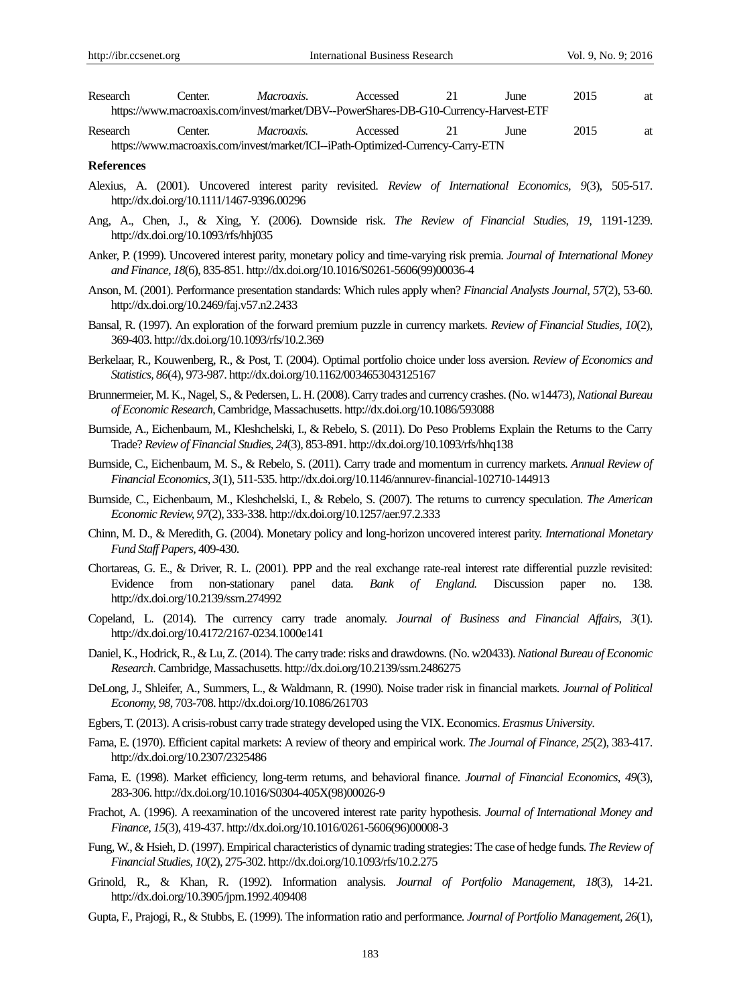| Research                                                                             | `enter. | <i>Macroaxis.</i> | Accessed |  | June | 2015 |  |
|--------------------------------------------------------------------------------------|---------|-------------------|----------|--|------|------|--|
| https://www.macroaxis.com/invest/market/DBV--PowerShares-DB-G10-Currency-Harvest-ETF |         |                   |          |  |      |      |  |

Research Center. *Macroaxis.* Accessed 21 June 2015 at <https://www.macroaxis.com/invest/market/ICI--iPath-Optimized-Currency-Carry-ETN>

#### **References**

- Alexius, A. (2001). Uncovered interest parity revisited. *Review of International Economics, 9*(3), 505-517. <http://dx.doi.org/10.1111/1467-9396.00296>
- Ang, A., Chen, J., & Xing, Y. (2006). Downside risk. *The Review of Financial Studies*, *19*, 1191-1239. <http://dx.doi.org/10.1093/rfs/hhj035>
- Anker, P. (1999). Uncovered interest parity, monetary policy and time-varying risk premia. *Journal of International Money and Finance, 18*(6), 835-851. [http://dx.doi.org/10.1016/S0261-5606\(99\)00036-4](http://dx.doi.org/10.1016/S0261-5606%2899%2900036-4)
- Anson, M. (2001). Performance presentation standards: Which rules apply when? *Financial Analysts Journal, 57*(2), 53-60. <http://dx.doi.org/10.2469/faj.v57.n2.2433>
- Bansal, R. (1997). An exploration of the forward premium puzzle in currency markets. *Review of Financial Studies, 10*(2), 369-403. <http://dx.doi.org/10.1093/rfs/10.2.369>
- Berkelaar, R., Kouwenberg, R., & Post, T. (2004). Optimal portfolio choice under loss aversion. *Review of Economics and Statistics, 86*(4), 973-987. <http://dx.doi.org/10.1162/0034653043125167>
- Brunnermeier, M. K., Nagel, S., & Pedersen, L. H. (2008). Carry trades and currency crashes. (No. w14473), *National Bureau of Economic Research*, Cambridge, Massachusetts. <http://dx.doi.org/10.1086/593088>
- Burnside, A., Eichenbaum, M., Kleshchelski, I., & Rebelo, S. (2011). Do Peso Problems Explain the Returns to the Carry Trade? *[Review of Financial Studies,](http://eprints.gla.ac.uk/view/journal_volume/Review_of_Financial_Studies.html) 24*(3)*,* 853-891. <http://dx.doi.org/10.1093/rfs/hhq138>
- Burnside, C., Eichenbaum, M. S., & Rebelo, S. (2011). Carry trade and momentum in currency markets. *Annual Review of Financial Economics, 3*(1), 511-535. <http://dx.doi.org/10.1146/annurev-financial-102710-144913>
- Burnside, C., Eichenbaum, M., Kleshchelski, I., & Rebelo, S. (2007). The returns to currency speculation. *The American Economic Review, 97*(2), 333-338. <http://dx.doi.org/10.1257/aer.97.2.333>
- Chinn, M. D., & Meredith, G. (2004). Monetary policy and long-horizon uncovered interest parity. *International Monetary Fund Staff Papers*, 409-430.
- Chortareas, G. E., & Driver, R. L. (2001). PPP and the real exchange rate-real interest rate differential puzzle revisited: Evidence from non-stationary panel data. *Bank of England.* Discussion paper no. 138. <http://dx.doi.org/10.2139/ssrn.274992>
- Copeland, L. (2014). The currency carry trade anomaly. *Journal of Business and Financial Affairs, 3*(1). <http://dx.doi.org/10.4172/2167-0234.1000e141>
- Daniel, K., Hodrick, R., & Lu, Z. (2014). The carry trade: risks and drawdowns. (No. w20433). *National Bureau of Economic Research*. Cambridge, Massachusetts. <http://dx.doi.org/10.2139/ssrn.2486275>
- DeLong, J., Shleifer, A., Summers, L., & Waldmann, R. (1990). Noise trader risk in financial markets. *Journal of Political Economy, 98*, 703-708[. http://dx.doi.org/10.1086/261703](http://dx.doi.org/10.1086/261703)
- Egbers, T. (2013). A crisis-robust carry trade strategy developed using the VIX. Economics. *Erasmus University*.
- Fama, E. (1970). Efficient capital markets: A review of theory and empirical work. *The Journal of Finance, 25*(2), 383-417. <http://dx.doi.org/10.2307/2325486>
- Fama, E. (1998). Market efficiency, long-term returns, and behavioral finance. *Journal of Financial Economics, 49*(3), 283-306. [http://dx.doi.org/10.1016/S0304-405X\(98\)00026-9](http://dx.doi.org/10.1016/S0304-405X%2898%2900026-9)
- Frachot, A. (1996). A reexamination of the uncovered interest rate parity hypothesis. *Journal of International Money and Finance, 15*(3), 419-437. [http://dx.doi.org/10.1016/0261-5606\(96\)00008-3](http://dx.doi.org/10.1016/0261-5606%2896%2900008-3)
- Fung, W., & Hsieh, D. (1997). Empirical characteristics of dynamic trading strategies: The case of hedge funds. *The Review of Financial Studies, 10*(2), 275-302. <http://dx.doi.org/10.1093/rfs/10.2.275>
- Grinold, R., & Khan, R. (1992). Information analysis. *Journal of Portfolio Management, 18*(3), 14-21. <http://dx.doi.org/10.3905/jpm.1992.409408>
- Gupta, F., Prajogi, R., & Stubbs, E. (1999). The information ratio and performance. *Journal of Portfolio Management, 26*(1),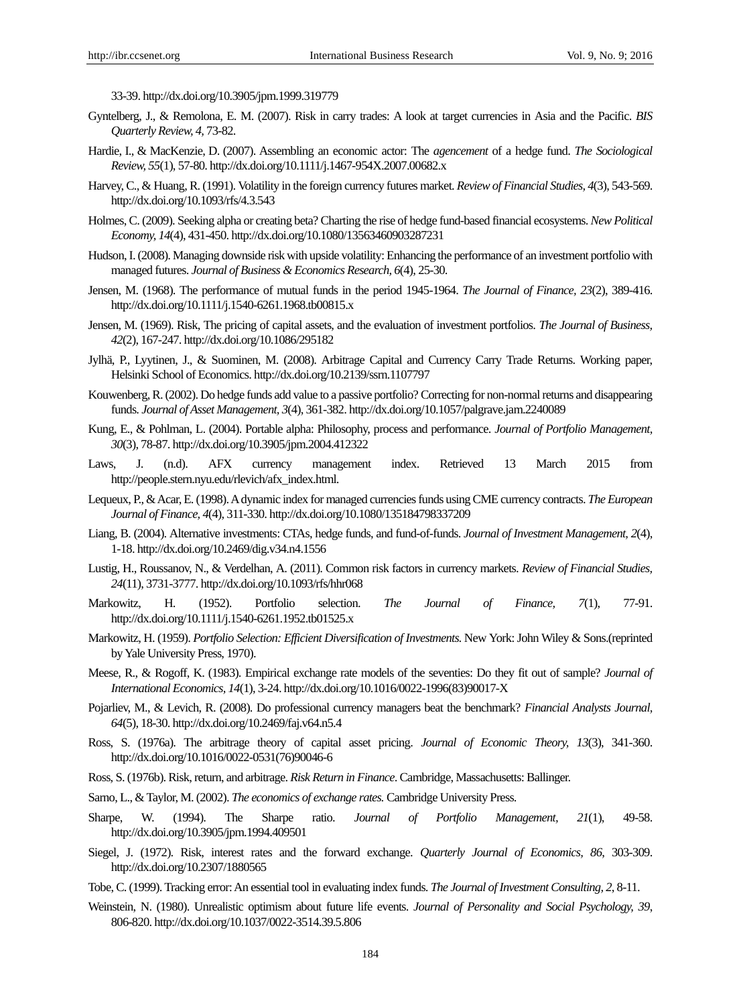33-39. <http://dx.doi.org/10.3905/jpm.1999.319779>

- Gyntelberg, J., & Remolona, E. M. (2007). Risk in carry trades: A look at target currencies in Asia and the Pacific. *BIS Quarterly Review, 4,* 73-82.
- Hardie, I., & MacKenzie, D. (2007). Assembling an economic actor: The *agencement* of a hedge fund. *The Sociological Review, 55*(1), 57-80. <http://dx.doi.org/10.1111/j.1467-954X.2007.00682.x>
- Harvey, C., & Huang, R. (1991). Volatility in the foreign currency futures market. *Review of Financial Studies, 4*(3), 543-569. <http://dx.doi.org/10.1093/rfs/4.3.543>
- Holmes, C. (2009). Seeking alpha or creating beta? Charting the rise of hedge fund-based financial ecosystems. *New Political Economy, 14*(4), 431-450. <http://dx.doi.org/10.1080/13563460903287231>
- Hudson, I. (2008). Managing downside risk with upside volatility: Enhancing the performance of an investment portfolio with managed futures. *Journal of Business & Economics Research, 6*(4), 25-30.
- Jensen, M. (1968). The performance of mutual funds in the period 1945-1964. *The Journal of Finance, 23*(2), 389-416. <http://dx.doi.org/10.1111/j.1540-6261.1968.tb00815.x>
- Jensen, M. (1969). Risk, The pricing of capital assets, and the evaluation of investment portfolios. *The Journal of Business, 42*(2), 167-247. <http://dx.doi.org/10.1086/295182>
- Jylhä, P., Lyytinen, J., & Suominen, M. (2008). Arbitrage Capital and Currency Carry Trade Returns. Working paper, Helsinki School of Economics. <http://dx.doi.org/10.2139/ssrn.1107797>
- Kouwenberg, R. (2002). Do hedge funds add value to a passive portfolio? Correcting for non-normal returns and disappearing funds. *Journal of Asset Management, 3*(4), 361-382. <http://dx.doi.org/10.1057/palgrave.jam.2240089>
- Kung, E., & Pohlman, L. (2004). Portable alpha: Philosophy, process and performance. *Journal of Portfolio Management, 30*(3), 78-87. <http://dx.doi.org/10.3905/jpm.2004.412322>
- Laws, J. (n.d). AFX currency management index. Retrieved 13 March 2015 from [http://people.stern.nyu.edu/rlevich/afx\\_index.html.](http://people.stern.nyu.edu/rlevich/afx_index.html)
- Lequeux, P.,& Acar, E. (1998). A dynamic index for managed currencies funds using CME currency contracts. *The European Journal of Finance, 4*(4), 311-330. <http://dx.doi.org/10.1080/135184798337209>
- Liang, B. (2004). Alternative investments: CTAs, hedge funds, and fund-of-funds. *Journal of Investment Management, 2*(4), 1-18. <http://dx.doi.org/10.2469/dig.v34.n4.1556>
- Lustig, H., Roussanov, N., & Verdelhan, A. (2011). Common risk factors in currency markets. *Review of Financial Studies, 24*(11), 3731-3777. <http://dx.doi.org/10.1093/rfs/hhr068>
- Markowitz, H. (1952). Portfolio selection. *The Journal of Finance, 7*(1), 77-91. <http://dx.doi.org/10.1111/j.1540-6261.1952.tb01525.x>
- Markowitz, H. (1959). *Portfolio Selection: Efficient Diversification of Investments.* New York: John Wiley & Sons.(reprinted by Yale University Press, 1970).
- Meese, R., & Rogoff, K. (1983). Empirical exchange rate models of the seventies: Do they fit out of sample? *Journal of International Economics, 14*(1), 3-24. [http://dx.doi.org/10.1016/0022-1996\(83\)90017-X](http://dx.doi.org/10.1016/0022-1996%2883%2990017-X)
- Pojarliev, M., & Levich, R. (2008). Do professional currency managers beat the benchmark? *Financial Analysts Journal, 64*(5), 18-30. <http://dx.doi.org/10.2469/faj.v64.n5.4>
- Ross, S. (1976a). The arbitrage theory of capital asset pricing. *Journal of Economic Theory, 13*(3), 341-360. [http://dx.doi.org/10.1016/0022-0531\(76\)90046-6](http://dx.doi.org/10.1016/0022-0531%2876%2990046-6)
- Ross, S. (1976b). Risk, return, and arbitrage. *Risk Return in Finance*. Cambridge, Massachusetts: Ballinger.
- Sarno, L., & Taylor, M. (2002). *The economics of exchange rates.* Cambridge University Press.
- Sharpe, W. (1994). The Sharpe ratio. *Journal of Portfolio Management, 21*(1), 49-58. <http://dx.doi.org/10.3905/jpm.1994.409501>
- Siegel, J. (1972). Risk, interest rates and the forward exchange. *Quarterly Journal of Economics, 86*, 303-309. <http://dx.doi.org/10.2307/1880565>
- Tobe, C. (1999). Tracking error: An essential tool in evaluating index funds. *The Journal of Investment Consulting, 2*, 8-11.
- Weinstein, N. (1980). Unrealistic optimism about future life events. *Journal of Personality and Social Psychology, 39*, 806-820. <http://dx.doi.org/10.1037/0022-3514.39.5.806>